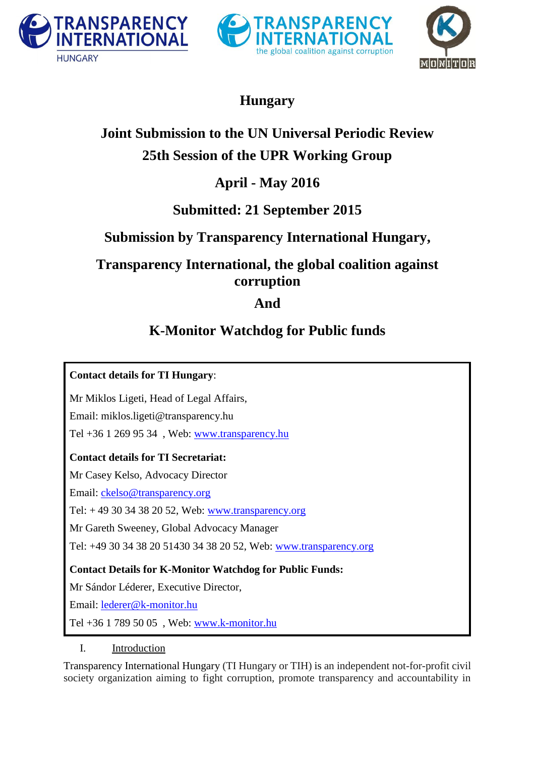





# **Hungary**

# **Joint Submission to the UN Universal Periodic Review 25th Session of the UPR Working Group**

## **April - May 2016**

## **Submitted: 21 September 2015**

## **Submission by Transparency International Hungary,**

## **Transparency International, the global coalition against corruption**

## **And**

# **K-Monitor Watchdog for Public funds**

**Contact details for TI Hungary**: Mr Miklos Ligeti, Head of Legal Affairs, Email: miklos.ligeti@transparency.hu Tel +36 1 269 95 34 , Web: [www.transparency.hu](http://www.transparency.hu/) **Contact details for TI Secretariat:** Mr Casey Kelso, Advocacy Director Email: [ckelso@transparency.org](mailto:ckelso@transparency.org) Tel: + 49 30 34 38 20 52, Web: [www.transparency.org](http://www.transparency.org/) Mr Gareth Sweeney, Global Advocacy Manager Tel: +49 30 34 38 20 51430 34 38 20 52, Web: [www.transparency.org](http://www.transparency.org/) **Contact Details for K-Monitor Watchdog for Public Funds:** Mr Sándor Léderer, Executive Director, Email: [lederer@k-monitor.hu](mailto:lederer@k-monitor.hu) Tel +36 1 789 50 05 , Web: [www.k-monitor.hu](http://www.k-monitor.hu/)

I. Introduction

Transparency International Hungary (TI Hungary or TIH) is an independent not-for-profit civil society organization aiming to fight corruption, promote transparency and accountability in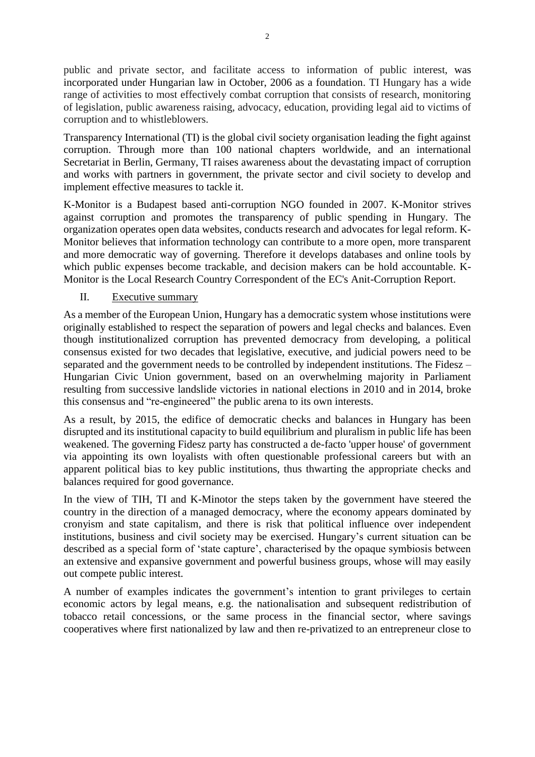public and private sector, and facilitate access to information of public interest, was incorporated under Hungarian law in October, 2006 as a foundation. TI Hungary has a wide range of activities to most effectively combat corruption that consists of research, monitoring of legislation, public awareness raising, advocacy, education, providing legal aid to victims of corruption and to whistleblowers.

Transparency International (TI) is the global civil society organisation leading the fight against corruption. Through more than 100 national chapters worldwide, and an international Secretariat in Berlin, Germany, TI raises awareness about the devastating impact of corruption and works with partners in government, the private sector and civil society to develop and implement effective measures to tackle it.

K-Monitor is a Budapest based anti-corruption NGO founded in 2007. K-Monitor strives against corruption and promotes the transparency of public spending in Hungary. The organization operates open data websites, conducts research and advocates for legal reform. K-Monitor believes that information technology can contribute to a more open, more transparent and more democratic way of governing. Therefore it develops databases and online tools by which public expenses become trackable, and decision makers can be hold accountable. K-Monitor is the Local Research Country Correspondent of the EC's Anit-Corruption Report.

## II. Executive summary

As a member of the European Union, Hungary has a democratic system whose institutions were originally established to respect the separation of powers and legal checks and balances. Even though institutionalized corruption has prevented democracy from developing, a political consensus existed for two decades that legislative, executive, and judicial powers need to be separated and the government needs to be controlled by independent institutions. The Fidesz – Hungarian Civic Union government, based on an overwhelming majority in Parliament resulting from successive landslide victories in national elections in 2010 and in 2014, broke this consensus and "re-engineered" the public arena to its own interests.

As a result, by 2015, the edifice of democratic checks and balances in Hungary has been disrupted and its institutional capacity to build equilibrium and pluralism in public life has been weakened. The governing Fidesz party has constructed a de-facto 'upper house' of government via appointing its own loyalists with often questionable professional careers but with an apparent political bias to key public institutions, thus thwarting the appropriate checks and balances required for good governance.

In the view of TIH, TI and K-Minotor the steps taken by the government have steered the country in the direction of a managed democracy, where the economy appears dominated by cronyism and state capitalism, and there is risk that political influence over independent institutions, business and civil society may be exercised. Hungary's current situation can be described as a special form of 'state capture', characterised by the opaque symbiosis between an extensive and expansive government and powerful business groups, whose will may easily out compete public interest.

A number of examples indicates the government's intention to grant privileges to certain economic actors by legal means, e.g. the nationalisation and subsequent redistribution of tobacco retail concessions, or the same process in the financial sector, where savings cooperatives where first nationalized by law and then re-privatized to an entrepreneur close to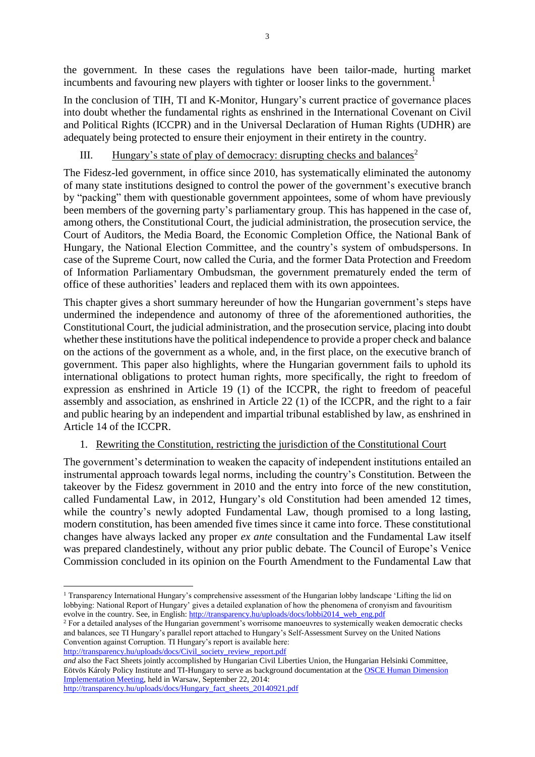the government. In these cases the regulations have been tailor-made, hurting market incumbents and favouring new players with tighter or looser links to the government.<sup>1</sup>

In the conclusion of TIH, TI and K-Monitor, Hungary's current practice of governance places into doubt whether the fundamental rights as enshrined in the International Covenant on Civil and Political Rights (ICCPR) and in the Universal Declaration of Human Rights (UDHR) are adequately being protected to ensure their enjoyment in their entirety in the country.

## III. Hungary's state of play of democracy: disrupting checks and balances<sup>2</sup>

The Fidesz-led government, in office since 2010, has systematically eliminated the autonomy of many state institutions designed to control the power of the government's executive branch by "packing" them with questionable government appointees, some of whom have previously been members of the governing party's parliamentary group. This has happened in the case of, among others, the Constitutional Court, the judicial administration, the prosecution service, the Court of Auditors, the Media Board, the Economic Completion Office, the National Bank of Hungary, the National Election Committee, and the country's system of ombudspersons. In case of the Supreme Court, now called the Curia, and the former Data Protection and Freedom of Information Parliamentary Ombudsman, the government prematurely ended the term of office of these authorities' leaders and replaced them with its own appointees.

This chapter gives a short summary hereunder of how the Hungarian government's steps have undermined the independence and autonomy of three of the aforementioned authorities, the Constitutional Court, the judicial administration, and the prosecution service, placing into doubt whether these institutions have the political independence to provide a proper check and balance on the actions of the government as a whole, and, in the first place, on the executive branch of government. This paper also highlights, where the Hungarian government fails to uphold its international obligations to protect human rights, more specifically, the right to freedom of expression as enshrined in Article 19 (1) of the ICCPR, the right to freedom of peaceful assembly and association, as enshrined in Article 22 (1) of the ICCPR, and the right to a fair and public hearing by an independent and impartial tribunal established by law, as enshrined in Article 14 of the ICCPR.

## 1. Rewriting the Constitution, restricting the jurisdiction of the Constitutional Court

The government's determination to weaken the capacity of independent institutions entailed an instrumental approach towards legal norms, including the country's Constitution. Between the takeover by the Fidesz government in 2010 and the entry into force of the new constitution, called Fundamental Law, in 2012, Hungary's old Constitution had been amended 12 times, while the country's newly adopted Fundamental Law, though promised to a long lasting, modern constitution, has been amended five times since it came into force. These constitutional changes have always lacked any proper *ex ante* consultation and the Fundamental Law itself was prepared clandestinely, without any prior public debate. The Council of Europe's Venice Commission concluded in its opinion on the Fourth Amendment to the Fundamental Law that

*and* also the Fact Sheets jointly accomplished by Hungarian Civil Liberties Union, the Hungarian Helsinki Committee, Eötvös Károly Policy Institute and TI-Hungary to serve as background documentation at th[e OSCE Human Dimension](http://www.osce.org/odihr/hdim_2014)  [Implementation Meeting,](http://www.osce.org/odihr/hdim_2014) held in Warsaw, September 22, 2014:

[http://transparency.hu/uploads/docs/Hungary\\_fact\\_sheets\\_20140921.pdf](http://transparency.hu/uploads/docs/Hungary_fact_sheets_20140921.pdf)

**<sup>.</sup>** <sup>1</sup> Transparency International Hungary's comprehensive assessment of the Hungarian lobby landscape 'Lifting the lid on lobbying: National Report of Hungary' gives a detailed explanation of how the phenomena of cronyism and favouritism evolve in the country. See, in English[: http://transparency.hu/uploads/docs/lobbi2014\\_web\\_eng.pdf](http://transparency.hu/uploads/docs/lobbi2014_web_eng.pdf)

<sup>&</sup>lt;sup>2</sup> For a detailed analyses of the Hungarian government's worrisome manoeuvres to systemically weaken democratic checks and balances, see TI Hungary's parallel report attached to Hungary's Self-Assessment Survey on the United Nations Convention against Corruption. TI Hungary's report is available here: [http://transparency.hu/uploads/docs/Civil\\_society\\_review\\_report.pdf](http://transparency.hu/uploads/docs/Civil_society_review_report.pdf)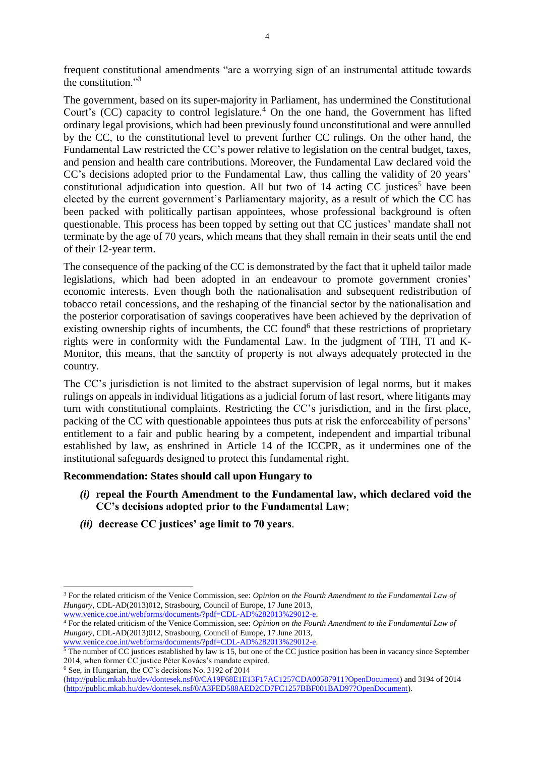frequent constitutional amendments "are a worrying sign of an instrumental attitude towards the constitution." 3

The government, based on its super-majority in Parliament, has undermined the Constitutional Court's (CC) capacity to control legislature.<sup>4</sup> On the one hand, the Government has lifted ordinary legal provisions, which had been previously found unconstitutional and were annulled by the CC, to the constitutional level to prevent further CC rulings. On the other hand, the Fundamental Law restricted the CC's power relative to legislation on the central budget, taxes, and pension and health care contributions. Moreover, the Fundamental Law declared void the CC's decisions adopted prior to the Fundamental Law, thus calling the validity of 20 years' constitutional adjudication into question. All but two of  $14$  acting CC justices<sup>5</sup> have been elected by the current government's Parliamentary majority, as a result of which the CC has been packed with politically partisan appointees, whose professional background is often questionable. This process has been topped by setting out that CC justices' mandate shall not terminate by the age of 70 years, which means that they shall remain in their seats until the end of their 12-year term.

The consequence of the packing of the CC is demonstrated by the fact that it upheld tailor made legislations, which had been adopted in an endeavour to promote government cronies' economic interests. Even though both the nationalisation and subsequent redistribution of tobacco retail concessions, and the reshaping of the financial sector by the nationalisation and the posterior corporatisation of savings cooperatives have been achieved by the deprivation of existing ownership rights of incumbents, the CC found<sup>6</sup> that these restrictions of proprietary rights were in conformity with the Fundamental Law. In the judgment of TIH, TI and K-Monitor, this means, that the sanctity of property is not always adequately protected in the country.

The CC's jurisdiction is not limited to the abstract supervision of legal norms, but it makes rulings on appeals in individual litigations as a judicial forum of last resort, where litigants may turn with constitutional complaints. Restricting the CC's jurisdiction, and in the first place, packing of the CC with questionable appointees thus puts at risk the enforceability of persons' entitlement to a fair and public hearing by a competent, independent and impartial tribunal established by law, as enshrined in Article 14 of the ICCPR, as it undermines one of the institutional safeguards designed to protect this fundamental right.

### **Recommendation: States should call upon Hungary to**

- *(i)* **repeal the Fourth Amendment to the Fundamental law, which declared void the CC's decisions adopted prior to the Fundamental Law**;
- *(ii)* **decrease CC justices' age limit to 70 years**.

<sup>4</sup> For the related criticism of the Venice Commission, see: *Opinion on the Fourth Amendment to the Fundamental Law of Hungary*, CDL-AD(2013)012, Strasbourg, Council of Europe, 17 June 2013, [www.venice.coe.int/webforms/documents/?pdf=CDL-AD%282013%29012-e.](http://www.venice.coe.int/webforms/documents/?pdf=CDL-AD%282013%29012-e)

<sup>6</sup> See, in Hungarian, the CC's decisions No. 3192 of 2014

**.** 

<sup>3</sup> For the related criticism of the Venice Commission, see: *Opinion on the Fourth Amendment to the Fundamental Law of Hungary*, CDL-AD(2013)012, Strasbourg, Council of Europe, 17 June 2013, [www.venice.coe.int/webforms/documents/?pdf=CDL-AD%282013%29012-e.](http://www.venice.coe.int/webforms/documents/?pdf=CDL-AD%282013%29012-e) 

 $<sup>5</sup>$  The number of CC justices established by law is 15, but one of the CC justice position has been in vacancy since September</sup> 2014, when former CC justice Péter Kovács's mandate expired.

[<sup>\(</sup>http://public.mkab.hu/dev/dontesek.nsf/0/CA19F68E1E13F17AC1257CDA00587911?OpenDocument\)](http://public.mkab.hu/dev/dontesek.nsf/0/CA19F68E1E13F17AC1257CDA00587911?OpenDocument) and 3194 of 2014 [\(http://public.mkab.hu/dev/dontesek.nsf/0/A3FED588AED2CD7FC1257BBF001BAD97?OpenDocument\)](http://public.mkab.hu/dev/dontesek.nsf/0/A3FED588AED2CD7FC1257BBF001BAD97?OpenDocument).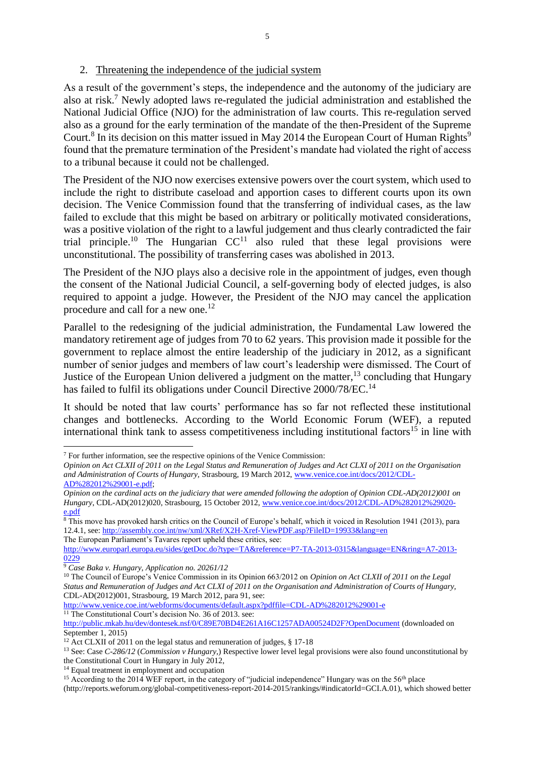### 2. Threatening the independence of the judicial system

As a result of the government's steps, the independence and the autonomy of the judiciary are also at risk.<sup>7</sup> Newly adopted laws re-regulated the judicial administration and established the National Judicial Office (NJO) for the administration of law courts. This re-regulation served also as a ground for the early termination of the mandate of the then-President of the Supreme Court.<sup>8</sup> In its decision on this matter issued in May 2014 the European Court of Human Rights<sup>9</sup> found that the premature termination of the President's mandate had violated the right of access to a tribunal because it could not be challenged.

The President of the NJO now exercises extensive powers over the court system, which used to include the right to distribute caseload and apportion cases to different courts upon its own decision. The Venice Commission found that the transferring of individual cases, as the law failed to exclude that this might be based on arbitrary or politically motivated considerations, was a positive violation of the right to a lawful judgement and thus clearly contradicted the fair trial principle.<sup>10</sup> The Hungarian  $CC<sup>11</sup>$  also ruled that these legal provisions were unconstitutional. The possibility of transferring cases was abolished in 2013.

The President of the NJO plays also a decisive role in the appointment of judges, even though the consent of the National Judicial Council, a self-governing body of elected judges, is also required to appoint a judge. However, the President of the NJO may cancel the application procedure and call for a new one.<sup>12</sup>

Parallel to the redesigning of the judicial administration, the Fundamental Law lowered the mandatory retirement age of judges from 70 to 62 years. This provision made it possible for the government to replace almost the entire leadership of the judiciary in 2012, as a significant number of senior judges and members of law court's leadership were dismissed. The Court of Justice of the European Union delivered a judgment on the matter,  $13$  concluding that Hungary has failed to fulfil its obligations under Council Directive 2000/78/EC.<sup>14</sup>

It should be noted that law courts' performance has so far not reflected these institutional changes and bottlenecks. According to the World Economic Forum (WEF), a reputed international think tank to assess competitiveness including institutional factors<sup>15</sup> in line with

The European Parliament's Tavares report upheld these critics, see:

 $\overline{\phantom{a}}$ 

<http://www.venice.coe.int/webforms/documents/default.aspx?pdffile=CDL-AD%282012%29001-e> <sup>11</sup> The Constitutional Court's decision No. 36 of 2013. see:

<http://public.mkab.hu/dev/dontesek.nsf/0/C89E70BD4E261A16C1257ADA00524D2F?OpenDocument> (downloaded on September 1, 2015)

<sup>14</sup> Equal treatment in employment and occupation

<sup>7</sup> For further information, see the respective opinions of the Venice Commission:

*Opinion on Act CLXII of 2011 on the Legal Status and Remuneration of Judges and Act CLXI of 2011 on the Organisation and Administration of Courts of Hungary,* Strasbourg, 19 March 2012[, www.venice.coe.int/docs/2012/CDL-](http://www.venice.coe.int/docs/2012/CDL-AD%282012%29001-e.pdf)[AD%282012%29001-e.pdf;](http://www.venice.coe.int/docs/2012/CDL-AD%282012%29001-e.pdf)

*Opinion on the cardinal acts on the judiciary that were amended following the adoption of Opinion CDL-AD(2012)001 on Hungary*, CDL-AD(2012)020, Strasbourg, 15 October 2012, [www.venice.coe.int/docs/2012/CDL-AD%282012%29020](http://www.venice.coe.int/docs/2012/CDL-AD%282012%29020-e.pdf) [e.pdf](http://www.venice.coe.int/docs/2012/CDL-AD%282012%29020-e.pdf)

 $\overline{\text{B}}$  This move has provoked harsh critics on the Council of Europe's behalf, which it voiced in Resolution 1941 (2013), para 12.4.1, see:<http://assembly.coe.int/nw/xml/XRef/X2H-Xref-ViewPDF.asp?FileID=19933&lang=en>

[http://www.europarl.europa.eu/sides/getDoc.do?type=TA&reference=P7-TA-2013-0315&language=EN&ring=A7-2013-](http://www.europarl.europa.eu/sides/getDoc.do?type=TA&reference=P7-TA-2013-0315&language=EN&ring=A7-2013-0229) [0229](http://www.europarl.europa.eu/sides/getDoc.do?type=TA&reference=P7-TA-2013-0315&language=EN&ring=A7-2013-0229)

<sup>9</sup> *Case Baka v. Hungary, Application no. 20261/12*

<sup>&</sup>lt;sup>10</sup> The Council of Europe's Venice Commission in its Opinion 663/2012 on *Opinion on Act CLXII of 2011* on the Legal *Status and Remuneration of Judges and Act CLXI of 2011 on the Organisation and Administration of Courts of Hungary,*  CDL-AD(2012)001, Strasbourg, 19 March 2012, para 91, see:

<sup>&</sup>lt;sup>12</sup> Act CLXII of 2011 on the legal status and remuneration of judges, § 17-18

<sup>13</sup> See: Case *C-286/12* (*Commission v Hungary,*) Respective lower level legal provisions were also found unconstitutional by the Constitutional Court in Hungary in July 2012,

<sup>&</sup>lt;sup>15</sup> According to the 2014 WEF report, in the category of "judicial independence" Hungary was on the 56<sup>th</sup> place

<sup>(</sup>http://reports.weforum.org/global-competitiveness-report-2014-2015/rankings/#indicatorId=GCI.A.01), which showed better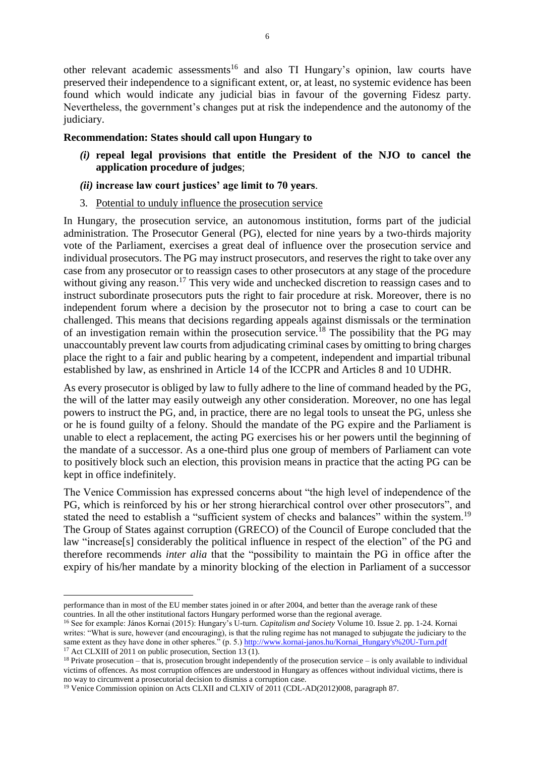other relevant academic assessments<sup>16</sup> and also TI Hungary's opinion, law courts have preserved their independence to a significant extent, or, at least, no systemic evidence has been found which would indicate any judicial bias in favour of the governing Fidesz party. Nevertheless, the government's changes put at risk the independence and the autonomy of the judiciary.

## **Recommendation: States should call upon Hungary to**

- *(i)* **repeal legal provisions that entitle the President of the NJO to cancel the application procedure of judges**;
- *(ii)* **increase law court justices' age limit to 70 years**.
- 3. Potential to unduly influence the prosecution service

In Hungary, the prosecution service, an autonomous institution, forms part of the judicial administration. The Prosecutor General (PG), elected for nine years by a two-thirds majority vote of the Parliament, exercises a great deal of influence over the prosecution service and individual prosecutors. The PG may instruct prosecutors, and reserves the right to take over any case from any prosecutor or to reassign cases to other prosecutors at any stage of the procedure without giving any reason.<sup>17</sup> This very wide and unchecked discretion to reassign cases and to instruct subordinate prosecutors puts the right to fair procedure at risk. Moreover, there is no independent forum where a decision by the prosecutor not to bring a case to court can be challenged. This means that decisions regarding appeals against dismissals or the termination of an investigation remain within the prosecution service.<sup>18</sup> The possibility that the PG may unaccountably prevent law courts from adjudicating criminal cases by omitting to bring charges place the right to a fair and public hearing by a competent, independent and impartial tribunal established by law, as enshrined in Article 14 of the ICCPR and Articles 8 and 10 UDHR.

As every prosecutor is obliged by law to fully adhere to the line of command headed by the PG, the will of the latter may easily outweigh any other consideration. Moreover, no one has legal powers to instruct the PG, and, in practice, there are no legal tools to unseat the PG, unless she or he is found guilty of a felony. Should the mandate of the PG expire and the Parliament is unable to elect a replacement, the acting PG exercises his or her powers until the beginning of the mandate of a successor. As a one-third plus one group of members of Parliament can vote to positively block such an election, this provision means in practice that the acting PG can be kept in office indefinitely.

The Venice Commission has expressed concerns about "the high level of independence of the PG, which is reinforced by his or her strong hierarchical control over other prosecutors", and stated the need to establish a "sufficient system of checks and balances" within the system.<sup>19</sup> The Group of States against corruption (GRECO) of the Council of Europe concluded that the law "increase[s] considerably the political influence in respect of the election" of the PG and therefore recommends *inter alia* that the "possibility to maintain the PG in office after the expiry of his/her mandate by a minority blocking of the election in Parliament of a successor

<sup>1</sup> performance than in most of the EU member states joined in or after 2004, and better than the average rank of these countries. In all the other institutional factors Hungary performed worse than the regional average.

<sup>16</sup> See for example: János Kornai (2015): Hungary's U-turn. *Capitalism and Society* Volume 10. Issue 2. pp. 1-24. Kornai writes: "What is sure, however (and encouraging), is that the ruling regime has not managed to subjugate the judiciary to the same extent as they have done in other spheres." (p. 5.) [http://www.kornai-janos.hu/Kornai\\_Hungary's%20U-Turn.pdf](http://www.kornai-janos.hu/Kornai_Hungary) <sup>17</sup> Act CLXIII of 2011 on public prosecution, Section  $13(1)$ .

 $18$  Private prosecution – that is, prosecution brought independently of the prosecution service – is only available to individual victims of offences. As most corruption offences are understood in Hungary as offences without individual victims, there is no way to circumvent a prosecutorial decision to dismiss a corruption case.

<sup>19</sup> Venice Commission opinion on Acts CLXII and CLXIV of 2011 (CDL-AD(2012)008, paragraph 87.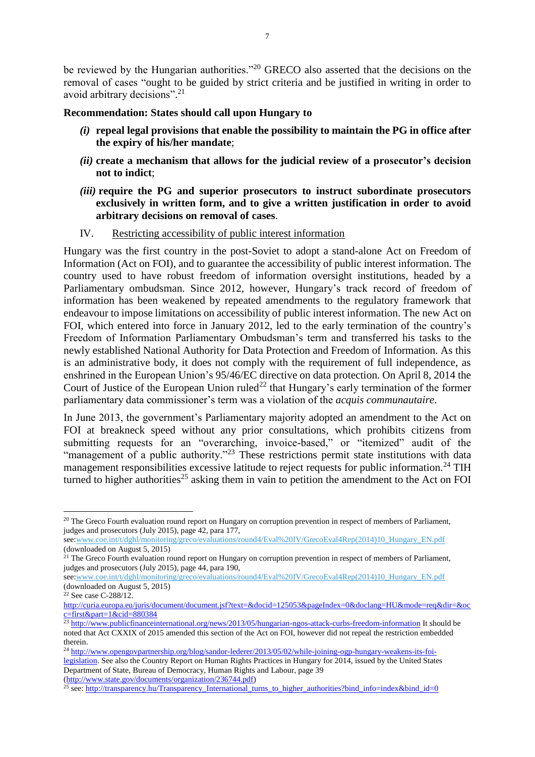be reviewed by the Hungarian authorities."<sup>20</sup> GRECO also asserted that the decisions on the removal of cases "ought to be guided by strict criteria and be justified in writing in order to avoid arbitrary decisions". 21

### **Recommendation: States should call upon Hungary to**

- *(i)* **repeal legal provisions that enable the possibility to maintain the PG in office after the expiry of his/her mandate**;
- *(ii)* **create a mechanism that allows for the judicial review of a prosecutor's decision not to indict**;
- *(iii)* **require the PG and superior prosecutors to instruct subordinate prosecutors exclusively in written form, and to give a written justification in order to avoid arbitrary decisions on removal of cases**.

### IV. Restricting accessibility of public interest information

Hungary was the first country in the post-Soviet to adopt a stand-alone Act on Freedom of Information (Act on FOI), and to guarantee the accessibility of public interest information. The country used to have robust freedom of information oversight institutions, headed by a Parliamentary ombudsman. Since 2012, however, Hungary's track record of freedom of information has been weakened by repeated amendments to the regulatory framework that endeavour to impose limitations on accessibility of public interest information. The new Act on FOI, which entered into force in January 2012, led to the early termination of the country's Freedom of Information Parliamentary Ombudsman's term and transferred his tasks to the newly established National Authority for Data Protection and Freedom of Information. As this is an administrative body, it does not comply with the requirement of full independence, as enshrined in the European Union's 95/46/EC directive on data protection. On April 8, 2014 the Court of Justice of the European Union ruled<sup>22</sup> that Hungary's early termination of the former parliamentary data commissioner's term was a violation of the *acquis communautaire*.

In June 2013, the government's Parliamentary majority adopted an amendment to the Act on FOI at breakneck speed without any prior consultations, which prohibits citizens from submitting requests for an "overarching, invoice-based," or "itemized" audit of the "management of a public authority."<sup>23</sup> These restrictions permit state institutions with data management responsibilities excessive latitude to reject requests for public information.<sup>24</sup> TIH turned to higher authorities<sup>25</sup> asking them in vain to petition the amendment to the Act on FOI

**.** 

<sup>&</sup>lt;sup>20</sup> The Greco Fourth evaluation round report on Hungary on corruption prevention in respect of members of Parliament, judges and prosecutors (July 2015), page 42, para 177,

see[:www.coe.int/t/dghl/monitoring/greco/evaluations/round4/Eval%20IV/GrecoEval4Rep\(2014\)10\\_Hungary\\_EN.pdf](http://www.coe.int/t/dghl/monitoring/greco/evaluations/round4/Eval%20IV/GrecoEval4Rep(2014)10_Hungary_EN.pdf) (downloaded on August 5, 2015)

<sup>&</sup>lt;sup>21</sup> The Greco Fourth evaluation round report on Hungary on corruption prevention in respect of members of Parliament, judges and prosecutors (July 2015), page 44, para 190,

see[:www.coe.int/t/dghl/monitoring/greco/evaluations/round4/Eval%20IV/GrecoEval4Rep\(2014\)10\\_Hungary\\_EN.pdf](http://www.coe.int/t/dghl/monitoring/greco/evaluations/round4/Eval%20IV/GrecoEval4Rep(2014)10_Hungary_EN.pdf) (downloaded on August  $5, 2015$ )

<sup>22</sup> See case C-288/12.

[http://curia.europa.eu/juris/document/document.jsf?text=&docid=125053&pageIndex=0&doclang=HU&mode=req&dir=&oc](http://curia.europa.eu/juris/document/document.jsf?text=&docid=125053&pageIndex=0&doclang=HU&mode=req&dir=&occ=first&part=1&cid=880384) [c=first&part=1&cid=880384](http://curia.europa.eu/juris/document/document.jsf?text=&docid=125053&pageIndex=0&doclang=HU&mode=req&dir=&occ=first&part=1&cid=880384)

<sup>&</sup>lt;sup>23</sup> <http://www.publicfinanceinternational.org/news/2013/05/hungarian-ngos-attack-curbs-freedom-information> It should be noted that Act CXXIX of 2015 amended this section of the Act on FOI, however did not repeal the restriction embedded therein.

<sup>24</sup> [http://www.opengovpartnership.org/blog/sandor-lederer/2013/05/02/while-joining-ogp-hungary-weakens-its-foi](http://www.opengovpartnership.org/blog/sandor-lederer/2013/05/02/while-joining-ogp-hungary-weakens-its-foi-legislation)[legislation.](http://www.opengovpartnership.org/blog/sandor-lederer/2013/05/02/while-joining-ogp-hungary-weakens-its-foi-legislation) See also the Country Report on Human Rights Practices in Hungary for 2014, issued by the United States Department of State, Bureau of Democracy, Human Rights and Labour, page 39 [\(http://www.state.gov/documents/organization/236744.pdf\)](http://www.state.gov/documents/organization/236744.pdf)

<sup>25</sup> see[: http://transparency.hu/Transparency\\_International\\_turns\\_to\\_higher\\_authorities?bind\\_info=index&bind\\_id=0](http://transparency.hu/Transparency_International_turns_to_higher_authorities?bind_info=index&bind_id=0)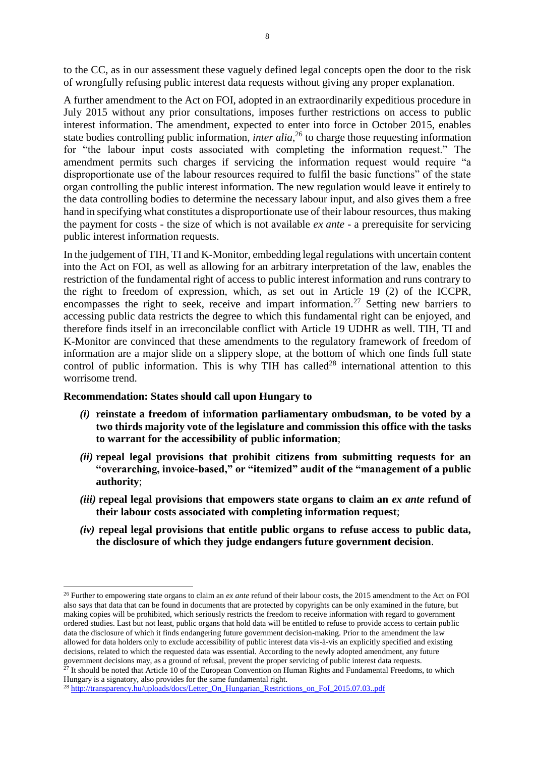to the CC, as in our assessment these vaguely defined legal concepts open the door to the risk of wrongfully refusing public interest data requests without giving any proper explanation.

A further amendment to the Act on FOI, adopted in an extraordinarily expeditious procedure in July 2015 without any prior consultations, imposes further restrictions on access to public interest information. The amendment, expected to enter into force in October 2015, enables state bodies controlling public information, *inter alia*, <sup>26</sup> to charge those requesting information for "the labour input costs associated with completing the information request." The amendment permits such charges if servicing the information request would require "a disproportionate use of the labour resources required to fulfil the basic functions" of the state organ controlling the public interest information. The new regulation would leave it entirely to the data controlling bodies to determine the necessary labour input, and also gives them a free hand in specifying what constitutes a disproportionate use of their labour resources, thus making the payment for costs - the size of which is not available *ex ante* - a prerequisite for servicing public interest information requests.

In the judgement of TIH, TI and K-Monitor, embedding legal regulations with uncertain content into the Act on FOI, as well as allowing for an arbitrary interpretation of the law, enables the restriction of the fundamental right of access to public interest information and runs contrary to the right to freedom of expression, which, as set out in Article 19 (2) of the ICCPR, encompasses the right to seek, receive and impart information.<sup>27</sup> Setting new barriers to accessing public data restricts the degree to which this fundamental right can be enjoyed, and therefore finds itself in an irreconcilable conflict with Article 19 UDHR as well. TIH, TI and K-Monitor are convinced that these amendments to the regulatory framework of freedom of information are a major slide on a slippery slope, at the bottom of which one finds full state control of public information. This is why TIH has called<sup>28</sup> international attention to this worrisome trend.

### **Recommendation: States should call upon Hungary to**

**.** 

- *(i)* **reinstate a freedom of information parliamentary ombudsman, to be voted by a two thirds majority vote of the legislature and commission this office with the tasks to warrant for the accessibility of public information**;
- *(ii)* **repeal legal provisions that prohibit citizens from submitting requests for an "overarching, invoice-based," or "itemized" audit of the "management of a public authority**;
- *(iii)* **repeal legal provisions that empowers state organs to claim an** *ex ante* **refund of their labour costs associated with completing information request**;
- *(iv)* **repeal legal provisions that entitle public organs to refuse access to public data, the disclosure of which they judge endangers future government decision**.

<sup>26</sup> Further to empowering state organs to claim an *ex ante* refund of their labour costs, the 2015 amendment to the Act on FOI also says that data that can be found in documents that are protected by copyrights can be only examined in the future, but making copies will be prohibited, which seriously restricts the freedom to receive information with regard to government ordered studies. Last but not least, public organs that hold data will be entitled to refuse to provide access to certain public data the disclosure of which it finds endangering future government decision-making. Prior to the amendment the law allowed for data holders only to exclude accessibility of public interest data vis-à-vis an explicitly specified and existing decisions, related to which the requested data was essential. According to the newly adopted amendment, any future government decisions may, as a ground of refusal, prevent the proper servicing of public interest data requests.

 $27$  It should be noted that Article 10 of the European Convention on Human Rights and Fundamental Freedoms, to which Hungary is a signatory, also provides for the same fundamental right.

<sup>28</sup> [http://transparency.hu/uploads/docs/Letter\\_On\\_Hungarian\\_Restrictions\\_on\\_FoI\\_2015.07.03..pdf](http://transparency.hu/uploads/docs/Letter_On_Hungarian_Restrictions_on_FoI_2015.07.03..pdf)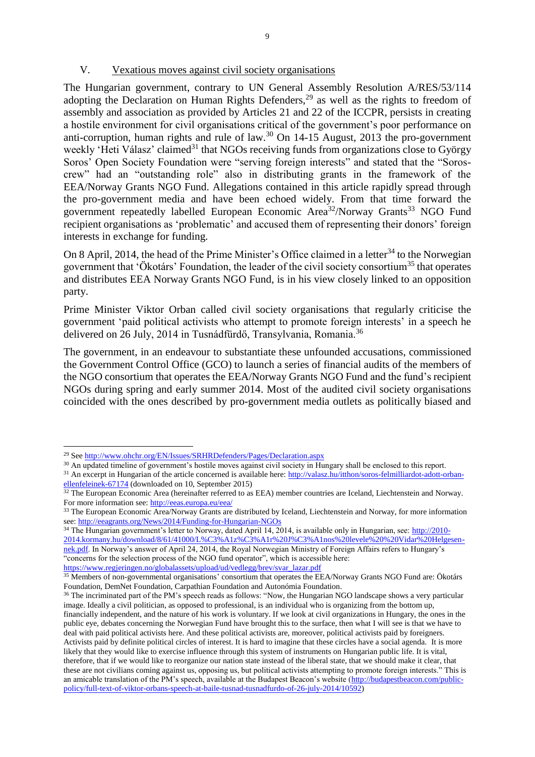#### V. Vexatious moves against civil society organisations

The Hungarian government, contrary to UN General Assembly Resolution A/RES/53/114 adopting the Declaration on Human Rights Defenders,<sup>29</sup> as well as the rights to freedom of assembly and association as provided by Articles 21 and 22 of the ICCPR, persists in creating a hostile environment for civil organisations critical of the government's poor performance on anti-corruption, human rights and rule of law. <sup>30</sup> On 14-15 August, 2013 the pro-government weekly 'Heti Válasz' claimed<sup>31</sup> that NGOs receiving funds from organizations close to György Soros' Open Society Foundation were "serving foreign interests" and stated that the "Soroscrew" had an "outstanding role" also in distributing grants in the framework of the EEA/Norway Grants NGO Fund. Allegations contained in this article rapidly spread through the pro-government media and have been echoed widely. From that time forward the government repeatedly labelled European Economic Area<sup>32</sup>/Norway Grants<sup>33</sup> NGO Fund recipient organisations as 'problematic' and accused them of representing their donors' foreign interests in exchange for funding.

On 8 April, 2014, the head of the Prime Minister's Office claimed in a letter<sup>34</sup> to the Norwegian government that 'Ökotárs' Foundation, the leader of the civil society consortium<sup>35</sup> that operates and distributes EEA Norway Grants NGO Fund, is in his view closely linked to an opposition party.

Prime Minister Viktor Orban called civil society organisations that regularly criticise the government 'paid political activists who attempt to promote foreign interests' in a speech he delivered on 26 July, 2014 in Tusnádfürdő, Transylvania, Romania.<sup>36</sup>

The government, in an endeavour to substantiate these unfounded accusations, commissioned the Government Control Office (GCO) to launch a series of financial audits of the members of the NGO consortium that operates the EEA/Norway Grants NGO Fund and the fund's recipient NGOs during spring and early summer 2014. Most of the audited civil society organisations coincided with the ones described by pro-government media outlets as politically biased and

 $\overline{\phantom{a}}$ 

<sup>34</sup> The Hungarian government's letter to Norway, dated April 14, 2014, is available only in Hungarian, see: [http://2010-](http://2010-2014.kormany.hu/download/8/61/41000/L%C3%A1z%C3%A1r%20J%C3%A1nos%20levele%20%20Vidar%20Helgesen-nek.pdf) [2014.kormany.hu/download/8/61/41000/L%C3%A1z%C3%A1r%20J%C3%A1nos%20levele%20%20Vidar%20Helgesen](http://2010-2014.kormany.hu/download/8/61/41000/L%C3%A1z%C3%A1r%20J%C3%A1nos%20levele%20%20Vidar%20Helgesen-nek.pdf)[nek.pdf.](http://2010-2014.kormany.hu/download/8/61/41000/L%C3%A1z%C3%A1r%20J%C3%A1nos%20levele%20%20Vidar%20Helgesen-nek.pdf) In Norway's answer of April 24, 2014, the Royal Norwegian Ministry of Foreign Affairs refers to Hungary's "concerns for the selection process of the NGO fund operator", which is accessible here:

[https://www.regjeringen.no/globalassets/upload/ud/vedlegg/brev/svar\\_lazar.pdf](https://www.regjeringen.no/globalassets/upload/ud/vedlegg/brev/svar_lazar.pdf)

<sup>&</sup>lt;sup>29</sup> Se[e http://www.ohchr.org/EN/Issues/SRHRDefenders/Pages/Declaration.aspx](http://www.ohchr.org/EN/Issues/SRHRDefenders/Pages/Declaration.aspx)

<sup>&</sup>lt;sup>30</sup> An updated timeline of government's hostile moves against civil society in Hungary shall be enclosed to this report.

<sup>&</sup>lt;sup>31</sup> An excerpt in Hungarian of the article concerned is available here[: http://valasz.hu/itthon/soros-felmilliardot-adott-orban](http://valasz.hu/itthon/soros-felmilliardot-adott-orban-ellenfeleinek-67174)[ellenfeleinek-67174](http://valasz.hu/itthon/soros-felmilliardot-adott-orban-ellenfeleinek-67174) (downloaded on 10, September 2015)

<sup>&</sup>lt;sup>32</sup> The European Economic Area (hereinafter referred to as EEA) member countries are Iceland, Liechtenstein and Norway. For more information see: <http://eeas.europa.eu/eea/>

<sup>&</sup>lt;sup>33</sup> The European Economic Area/Norway Grants are distributed by Iceland, Liechtenstein and Norway, for more information see:<http://eeagrants.org/News/2014/Funding-for-Hungarian-NGOs>

<sup>&</sup>lt;sup>35</sup> Members of non-governmental organisations' consortium that operates the EEA/Norway Grants NGO Fund are: Ökotárs Foundation, DemNet Foundation, Carpathian Foundation and Autonómia Foundation.

<sup>&</sup>lt;sup>36</sup> The incriminated part of the PM's speech reads as follows: "Now, the Hungarian NGO landscape shows a very particular image. Ideally a civil politician, as opposed to professional, is an individual who is organizing from the bottom up, financially independent, and the nature of his work is voluntary. If we look at civil organizations in Hungary, the ones in the public eye, debates concerning the Norwegian Fund have brought this to the surface, then what I will see is that we have to deal with paid political activists here. And these political activists are, moreover, political activists paid by foreigners. Activists paid by definite political circles of interest. It is hard to imagine that these circles have a social agenda. It is more likely that they would like to exercise influence through this system of instruments on Hungarian public life. It is vital, therefore, that if we would like to reorganize our nation state instead of the liberal state, that we should make it clear, that these are not civilians coming against us, opposing us, but political activists attempting to promote foreign interests." This is an amicable translation of the PM's speech, available at the Budapest Beacon's website [\(http://budapestbeacon.com/public](http://budapestbeacon.com/public-policy/full-text-of-viktor-orbans-speech-at-baile-tusnad-tusnadfurdo-of-26-july-2014/10592)[policy/full-text-of-viktor-orbans-speech-at-baile-tusnad-tusnadfurdo-of-26-july-2014/10592\)](http://budapestbeacon.com/public-policy/full-text-of-viktor-orbans-speech-at-baile-tusnad-tusnadfurdo-of-26-july-2014/10592)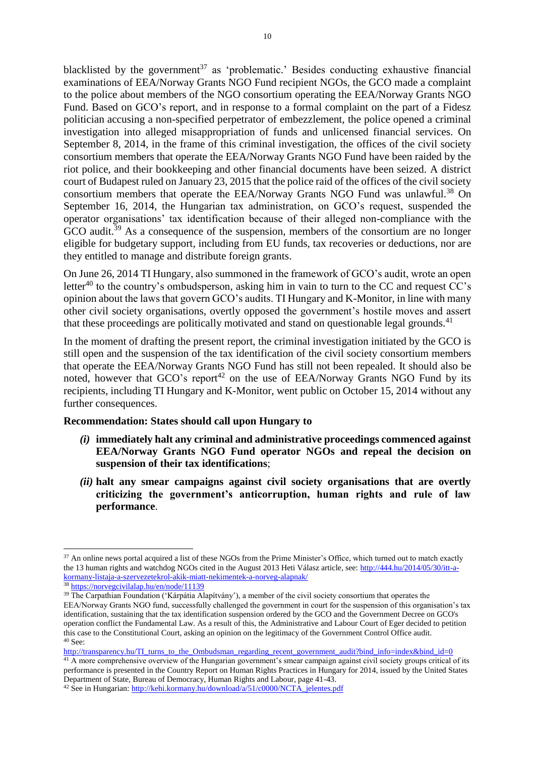blacklisted by the government<sup>37</sup> as 'problematic.' Besides conducting exhaustive financial examinations of EEA/Norway Grants NGO Fund recipient NGOs, the GCO made a complaint to the police about members of the NGO consortium operating the EEA/Norway Grants NGO Fund. Based on GCO's report, and in response to a formal complaint on the part of a Fidesz politician accusing a non-specified perpetrator of embezzlement, the police opened a criminal investigation into alleged misappropriation of funds and unlicensed financial services. On September 8, 2014, in the frame of this criminal investigation, the offices of the civil society consortium members that operate the EEA/Norway Grants NGO Fund have been raided by the riot police, and their bookkeeping and other financial documents have been seized. A district court of Budapest ruled on January 23, 2015 that the police raid of the offices of the civil society consortium members that operate the EEA/Norway Grants NGO Fund was unlawful.<sup>38</sup> On September 16, 2014, the Hungarian tax administration, on GCO's request, suspended the operator organisations' tax identification because of their alleged non-compliance with the GCO audit.<sup>39</sup> As a consequence of the suspension, members of the consortium are no longer eligible for budgetary support, including from EU funds, tax recoveries or deductions, nor are they entitled to manage and distribute foreign grants.

On June 26, 2014 TI Hungary, also summoned in the framework of GCO's audit, wrote an open letter<sup>40</sup> to the country's ombudsperson, asking him in vain to turn to the CC and request  $CC$ 's opinion about the laws that govern GCO's audits. TI Hungary and K-Monitor, in line with many other civil society organisations, overtly opposed the government's hostile moves and assert that these proceedings are politically motivated and stand on questionable legal grounds.<sup>41</sup>

In the moment of drafting the present report, the criminal investigation initiated by the GCO is still open and the suspension of the tax identification of the civil society consortium members that operate the EEA/Norway Grants NGO Fund has still not been repealed. It should also be noted, however that  $GCO's$  report<sup>42</sup> on the use of EEA/Norway Grants NGO Fund by its recipients, including TI Hungary and K-Monitor, went public on October 15, 2014 without any further consequences.

### **Recommendation: States should call upon Hungary to**

- *(i)* **immediately halt any criminal and administrative proceedings commenced against EEA/Norway Grants NGO Fund operator NGOs and repeal the decision on suspension of their tax identifications**;
- *(ii)* **halt any smear campaigns against civil society organisations that are overtly criticizing the government's anticorruption, human rights and rule of law performance**.

<sup>41</sup> A more comprehensive overview of the Hungarian government's smear campaign against civil society groups critical of its performance is presented in the Country Report on Human Rights Practices in Hungary for 2014, issued by the United States Department of State, Bureau of Democracy, Human Rights and Labour, page 41-43.

<sup>1</sup> <sup>37</sup> An online news portal acquired a list of these NGOs from the Prime Minister's Office, which turned out to match exactly the 13 human rights and watchdog NGOs cited in the August 2013 Heti Válasz article, see: [http://444.hu/2014/05/30/itt-a](http://444.hu/2014/05/30/itt-a-kormany-listaja-a-szervezetekrol-akik-miatt-nekimentek-a-norveg-alapnak/)[kormany-listaja-a-szervezetekrol-akik-miatt-nekimentek-a-norveg-alapnak/](http://444.hu/2014/05/30/itt-a-kormany-listaja-a-szervezetekrol-akik-miatt-nekimentek-a-norveg-alapnak/)

<sup>38</sup> <https://norvegcivilalap.hu/en/node/11139>

<sup>&</sup>lt;sup>39</sup> The Carpathian Foundation ('Kárpátia Alapítvány'), a member of the civil society consortium that operates the EEA/Norway Grants NGO fund, successfully challenged the government in court for the suspension of this organisation's tax identification, sustaining that the tax identification suspension ordered by the GCO and the Government Decree on GCO's operation conflict the Fundamental Law. As a result of this, the Administrative and Labour Court of Eger decided to petition this case to the Constitutional Court, asking an opinion on the legitimacy of the Government Control Office audit. <sup>40</sup> See:

[http://transparency.hu/TI\\_turns\\_to\\_the\\_Ombudsman\\_regarding\\_recent\\_government\\_audit?bind\\_info=index&bind\\_id=0](http://transparency.hu/TI_turns_to_the_Ombudsman_regarding_recent_government_audit?bind_info=index&bind_id=0)

<sup>42</sup> See in Hungarian[: http://kehi.kormany.hu/download/a/51/c0000/NCTA\\_jelentes.pdf](http://kehi.kormany.hu/download/a/51/c0000/NCTA_jelentes.pdf)